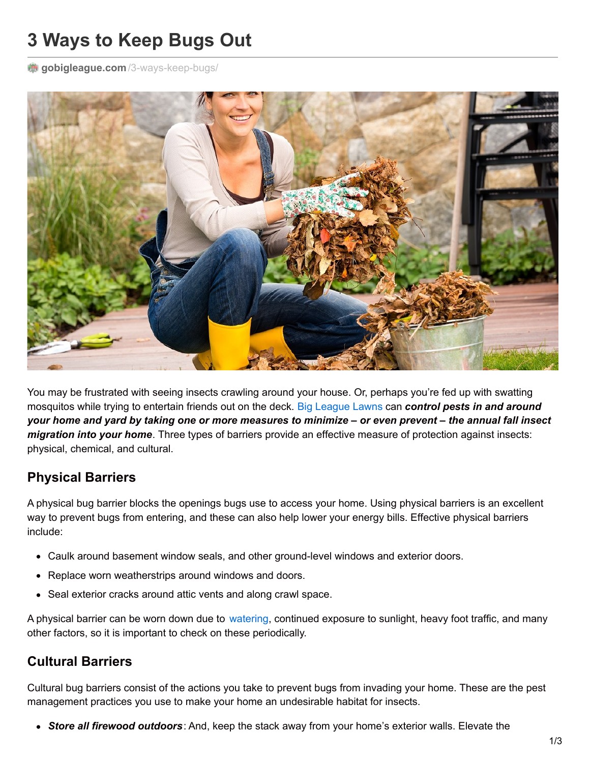# **3 Ways to Keep Bugs Out**

gobigleague.com[/3-ways-keep-bugs/](https://gobigleague.com/3-ways-keep-bugs/)



You may be frustrated with seeing insects crawling around your house. Or, perhaps you're fed up with swatting mosquitos while trying to entertain friends out on the deck. Big [League](https://gobigleague.com/) Lawns can *control pests in and around* your home and yard by taking one or more measures to minimize – or even prevent – the annual fall insect *migration into your home*. Three types of barriers provide an effective measure of protection against insects: physical, chemical, and cultural.

## **Physical Barriers**

A physical bug barrier blocks the openings bugs use to access your home. Using physical barriers is an excellent way to prevent bugs from entering, and these can also help lower your energy bills. Effective physical barriers include:

- Caulk around basement window seals, and other ground-level windows and exterior doors.
- Replace worn weatherstrips around windows and doors.
- Seal exterior cracks around attic vents and along crawl space.

A physical barrier can be worn down due to [watering](https://gobigleague.com/lawn-watering-guide-utah/), continued exposure to sunlight, heavy foot traffic, and many other factors, so it is important to check on these periodically.

## **Cultural Barriers**

Cultural bug barriers consist of the actions you take to prevent bugs from invading your home. These are the pest management practices you use to make your home an undesirable habitat for insects.

*Store all firewood outdoors*: And, keep the stack away from your home's exterior walls. Elevate the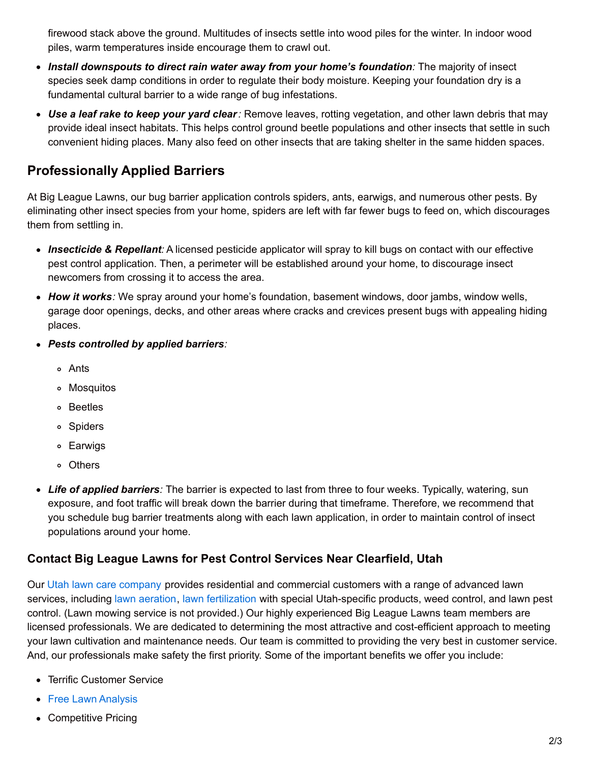firewood stack above the ground. Multitudes of insects settle into wood piles for the winter. In indoor wood piles, warm temperatures inside encourage them to crawl out.

- *Install downspouts to direct rain water away from your home's foundation:* The majority of insect species seek damp conditions in order to regulate their body moisture. Keeping your foundation dry is a fundamental cultural barrier to a wide range of bug infestations.
- *Use a leaf rake to keep your yard clear:* Remove leaves, rotting vegetation, and other lawn debris that may provide ideal insect habitats. This helps control ground beetle populations and other insects that settle in such convenient hiding places. Many also feed on other insects that are taking shelter in the same hidden spaces.

# **Professionally Applied Barriers**

At Big League Lawns, our bug barrier application controls spiders, ants, earwigs, and numerous other pests. By eliminating other insect species from your home, spiders are left with far fewer bugs to feed on, which discourages them from settling in.

- *Insecticide & Repellant:* A licensed pesticide applicator will spray to kill bugs on contact with our effective pest control application. Then, a perimeter will be established around your home, to discourage insect newcomers from crossing it to access the area.
- *How it works:* We spray around your home's foundation, basement windows, door jambs, window wells, garage door openings, decks, and other areas where cracks and crevices present bugs with appealing hiding places.
- *Pests controlled by applied barriers:*
	- Ants
	- Mosquitos
	- Beetles
	- Spiders
	- Earwigs
	- Others
- *Life of applied barriers:* The barrier is expected to last from three to four weeks. Typically, watering, sun exposure, and foot traffic will break down the barrier during that timeframe. Therefore, we recommend that you schedule bug barrier treatments along with each lawn application, in order to maintain control of insect populations around your home.

### **Contact Big League Lawns for Pest Control Services Near Clearfield, Utah**

Our Utah lawn care [company](https://gobigleague.com/big-league-lawn-care/) provides residential and commercial customers with a range of advanced lawn services, including lawn [aeration](https://gobigleague.com/lawn-aerator-service-utah/), lawn [fertilization](https://gobigleague.com/lawn-fertilization-services-utah/) with special Utah-specific products, weed control, and lawn pest control. (Lawn mowing service is not provided.) Our highly experienced Big League Lawns team members are licensed professionals. We are dedicated to determining the most attractive and cost-efficient approach to meeting your lawn cultivation and maintenance needs. Our team is committed to providing the very best in customer service. And, our professionals make safety the first priority. Some of the important benefits we offer you include:

- Terrific Customer Service
- Free Lawn [Analysis](https://gobigleague.com/get-started-big-league-lawns-utah/)
- Competitive Pricing